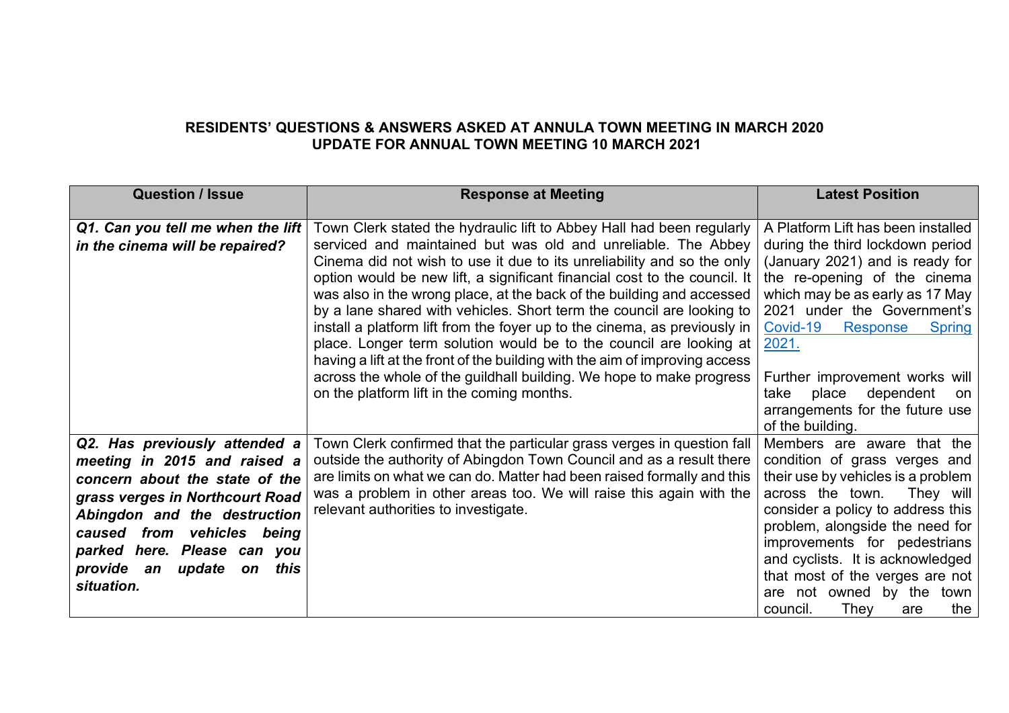## **RESIDENTS' QUESTIONS & ANSWERS ASKED AT ANNULA TOWN MEETING IN MARCH 2020 UPDATE FOR ANNUAL TOWN MEETING 10 MARCH 2021**

| <b>Question / Issue</b>                                                                                                                                                                                                                                                                   | <b>Response at Meeting</b>                                                                                                                                                                                                                                                                                                                                                                                                                                                                                                                                                                                                                                                                                                                                                                              | <b>Latest Position</b>                                                                                                                                                                                                                                                                                                                                                                                  |
|-------------------------------------------------------------------------------------------------------------------------------------------------------------------------------------------------------------------------------------------------------------------------------------------|---------------------------------------------------------------------------------------------------------------------------------------------------------------------------------------------------------------------------------------------------------------------------------------------------------------------------------------------------------------------------------------------------------------------------------------------------------------------------------------------------------------------------------------------------------------------------------------------------------------------------------------------------------------------------------------------------------------------------------------------------------------------------------------------------------|---------------------------------------------------------------------------------------------------------------------------------------------------------------------------------------------------------------------------------------------------------------------------------------------------------------------------------------------------------------------------------------------------------|
| Q1. Can you tell me when the lift<br>in the cinema will be repaired?                                                                                                                                                                                                                      | Town Clerk stated the hydraulic lift to Abbey Hall had been regularly<br>serviced and maintained but was old and unreliable. The Abbey<br>Cinema did not wish to use it due to its unreliability and so the only<br>option would be new lift, a significant financial cost to the council. It<br>was also in the wrong place, at the back of the building and accessed<br>by a lane shared with vehicles. Short term the council are looking to<br>install a platform lift from the foyer up to the cinema, as previously in<br>place. Longer term solution would be to the council are looking at<br>having a lift at the front of the building with the aim of improving access<br>across the whole of the guildhall building. We hope to make progress<br>on the platform lift in the coming months. | A Platform Lift has been installed<br>during the third lockdown period<br>(January 2021) and is ready for<br>the re-opening of the cinema<br>which may be as early as 17 May<br>2021 under the Government's<br>Covid-19<br>Response<br><b>Spring</b><br>2021.<br>Further improvement works will<br>take<br>place<br>dependent<br>on<br>arrangements for the future use                                  |
| Q2. Has previously attended a<br>meeting in 2015 and raised a<br>concern about the state of the<br>grass verges in Northcourt Road<br>Abingdon and the destruction<br>vehicles being<br>from<br>caused<br>parked here. Please can you<br>provide an<br>update<br>this<br>on<br>situation. | Town Clerk confirmed that the particular grass verges in question fall<br>outside the authority of Abingdon Town Council and as a result there<br>are limits on what we can do. Matter had been raised formally and this<br>was a problem in other areas too. We will raise this again with the<br>relevant authorities to investigate.                                                                                                                                                                                                                                                                                                                                                                                                                                                                 | of the building.<br>Members are aware that the<br>condition of grass verges and<br>their use by vehicles is a problem<br>across the town.<br>They will<br>consider a policy to address this<br>problem, alongside the need for<br>improvements for pedestrians<br>and cyclists. It is acknowledged<br>that most of the verges are not<br>are not owned by the<br>town<br>council.<br>Thev<br>the<br>are |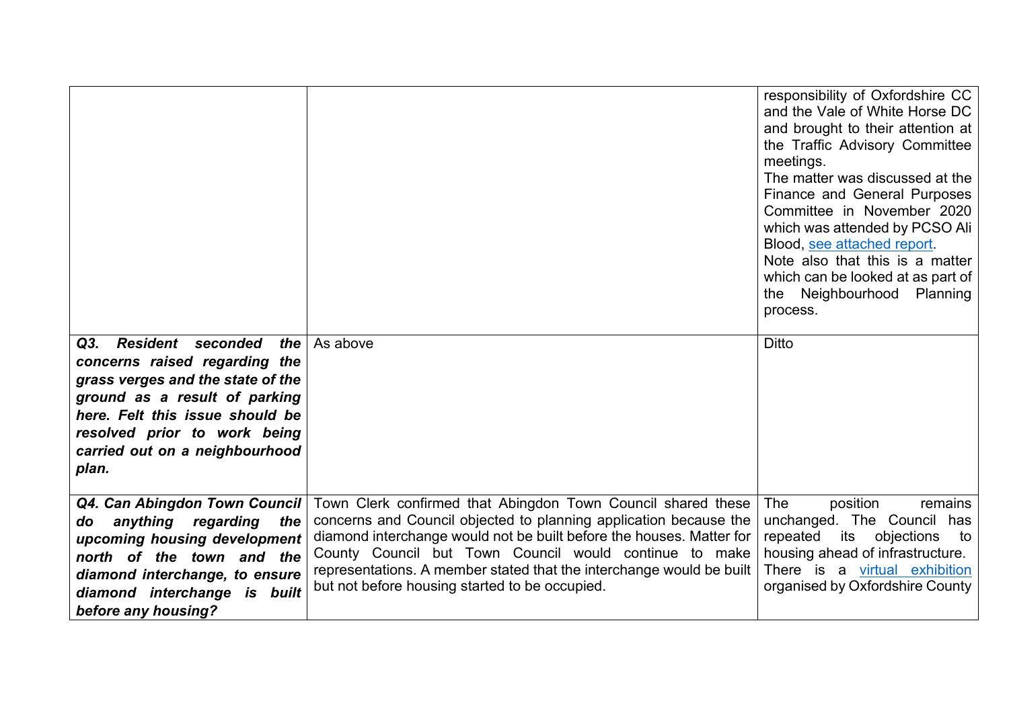|                                                                                                                                                                                                                                                                |                                                                                                                                                                                                                                                                                                                                                                                               | responsibility of Oxfordshire CC<br>and the Vale of White Horse DC<br>and brought to their attention at<br>the Traffic Advisory Committee<br>meetings.<br>The matter was discussed at the<br>Finance and General Purposes<br>Committee in November 2020<br>which was attended by PCSO Ali<br>Blood, see attached report.<br>Note also that this is a matter<br>which can be looked at as part of<br>the Neighbourhood Planning<br>process. |
|----------------------------------------------------------------------------------------------------------------------------------------------------------------------------------------------------------------------------------------------------------------|-----------------------------------------------------------------------------------------------------------------------------------------------------------------------------------------------------------------------------------------------------------------------------------------------------------------------------------------------------------------------------------------------|--------------------------------------------------------------------------------------------------------------------------------------------------------------------------------------------------------------------------------------------------------------------------------------------------------------------------------------------------------------------------------------------------------------------------------------------|
| <b>Resident</b><br>seconded<br>the<br>Q3.<br>concerns raised regarding the<br>grass verges and the state of the<br>ground as a result of parking<br>here. Felt this issue should be<br>resolved prior to work being<br>carried out on a neighbourhood<br>plan. | As above                                                                                                                                                                                                                                                                                                                                                                                      | <b>Ditto</b>                                                                                                                                                                                                                                                                                                                                                                                                                               |
| Q4. Can Abingdon Town Council<br>anything regarding<br>the<br>do<br>upcoming housing development<br>north of the town and the<br>diamond interchange, to ensure<br>diamond interchange is built<br>before any housing?                                         | Town Clerk confirmed that Abingdon Town Council shared these<br>concerns and Council objected to planning application because the<br>diamond interchange would not be built before the houses. Matter for<br>County Council but Town Council would continue to make<br>representations. A member stated that the interchange would be built<br>but not before housing started to be occupied. | The<br>position<br>remains<br>unchanged. The Council has<br>repeated<br>its<br>objections<br>to<br>housing ahead of infrastructure.<br>There is a virtual exhibition<br>organised by Oxfordshire County                                                                                                                                                                                                                                    |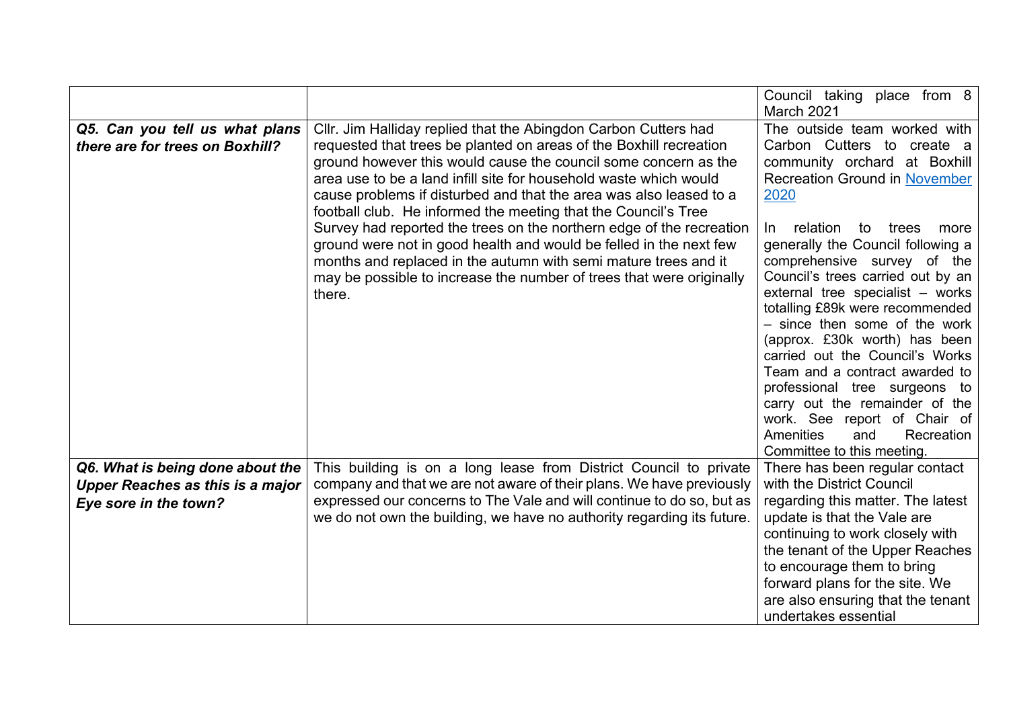|                                         |                                                                        | Council taking place from 8<br>March 2021 |
|-----------------------------------------|------------------------------------------------------------------------|-------------------------------------------|
|                                         |                                                                        |                                           |
| Q5. Can you tell us what plans          | Cllr. Jim Halliday replied that the Abingdon Carbon Cutters had        | The outside team worked with              |
| there are for trees on Boxhill?         | requested that trees be planted on areas of the Boxhill recreation     | Carbon Cutters to create a                |
|                                         | ground however this would cause the council some concern as the        | community orchard at Boxhill              |
|                                         | area use to be a land infill site for household waste which would      | <b>Recreation Ground in November</b>      |
|                                         | cause problems if disturbed and that the area was also leased to a     | 2020                                      |
|                                         | football club. He informed the meeting that the Council's Tree         |                                           |
|                                         | Survey had reported the trees on the northern edge of the recreation   | relation to trees<br>In.<br>more          |
|                                         | ground were not in good health and would be felled in the next few     | generally the Council following a         |
|                                         | months and replaced in the autumn with semi mature trees and it        | comprehensive survey of the               |
|                                         |                                                                        | Council's trees carried out by an         |
|                                         | may be possible to increase the number of trees that were originally   | external tree specialist - works          |
|                                         | there.                                                                 |                                           |
|                                         |                                                                        | totalling £89k were recommended           |
|                                         |                                                                        | - since then some of the work             |
|                                         |                                                                        | (approx. £30k worth) has been             |
|                                         |                                                                        | carried out the Council's Works           |
|                                         |                                                                        | Team and a contract awarded to            |
|                                         |                                                                        | professional tree surgeons to             |
|                                         |                                                                        | carry out the remainder of the            |
|                                         |                                                                        | work. See report of Chair of              |
|                                         |                                                                        | Amenities<br>Recreation<br>and            |
|                                         |                                                                        | Committee to this meeting.                |
| Q6. What is being done about the        | This building is on a long lease from District Council to private      | There has been regular contact            |
| <b>Upper Reaches as this is a major</b> | company and that we are not aware of their plans. We have previously   | with the District Council                 |
| Eye sore in the town?                   | expressed our concerns to The Vale and will continue to do so, but as  | regarding this matter. The latest         |
|                                         | we do not own the building, we have no authority regarding its future. | update is that the Vale are               |
|                                         |                                                                        | continuing to work closely with           |
|                                         |                                                                        | the tenant of the Upper Reaches           |
|                                         |                                                                        | to encourage them to bring                |
|                                         |                                                                        | forward plans for the site. We            |
|                                         |                                                                        |                                           |
|                                         |                                                                        | are also ensuring that the tenant         |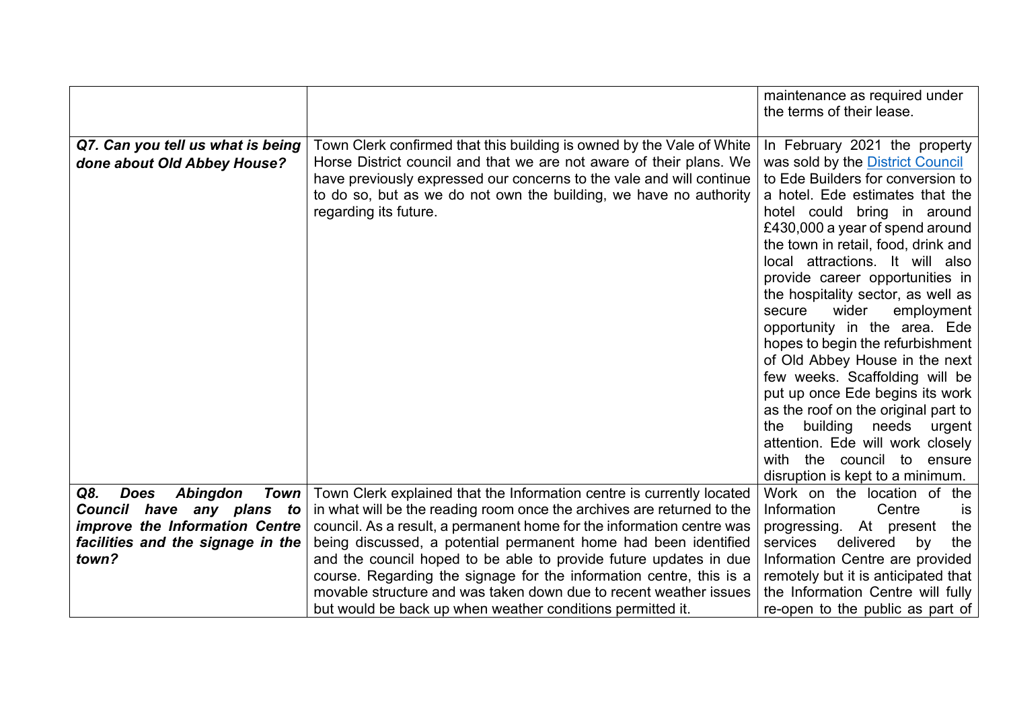|                                               |                                                                        | maintenance as required under                                       |
|-----------------------------------------------|------------------------------------------------------------------------|---------------------------------------------------------------------|
|                                               |                                                                        | the terms of their lease.                                           |
|                                               |                                                                        |                                                                     |
| Q7. Can you tell us what is being             | Town Clerk confirmed that this building is owned by the Vale of White  | In February 2021 the property                                       |
| done about Old Abbey House?                   | Horse District council and that we are not aware of their plans. We    | was sold by the District Council                                    |
|                                               | have previously expressed our concerns to the vale and will continue   | to Ede Builders for conversion to                                   |
|                                               | to do so, but as we do not own the building, we have no authority      | a hotel. Ede estimates that the                                     |
|                                               | regarding its future.                                                  | hotel could bring in around                                         |
|                                               |                                                                        | £430,000 a year of spend around                                     |
|                                               |                                                                        | the town in retail, food, drink and                                 |
|                                               |                                                                        | local attractions. It will also                                     |
|                                               |                                                                        | provide career opportunities in                                     |
|                                               |                                                                        | the hospitality sector, as well as<br>secure<br>wider<br>employment |
|                                               |                                                                        | opportunity in the area. Ede                                        |
|                                               |                                                                        | hopes to begin the refurbishment                                    |
|                                               |                                                                        | of Old Abbey House in the next                                      |
|                                               |                                                                        | few weeks. Scaffolding will be                                      |
|                                               |                                                                        | put up once Ede begins its work                                     |
|                                               |                                                                        | as the roof on the original part to                                 |
|                                               |                                                                        | building<br>needs<br>the<br>urgent                                  |
|                                               |                                                                        | attention. Ede will work closely                                    |
|                                               |                                                                        | with the council to ensure                                          |
|                                               |                                                                        | disruption is kept to a minimum.                                    |
| Q8.<br><b>Does</b><br><b>Abingdon</b><br>Town | Town Clerk explained that the Information centre is currently located  | Work on the location of the                                         |
| Council have any plans<br><b>to</b>           | in what will be the reading room once the archives are returned to the | Information<br>Centre<br><b>is</b>                                  |
| improve the Information Centre                | council. As a result, a permanent home for the information centre was  | progressing. At present<br>the                                      |
| facilities and the signage in the             | being discussed, a potential permanent home had been identified        | delivered<br>services<br>by<br>the                                  |
| town?                                         | and the council hoped to be able to provide future updates in due      | Information Centre are provided                                     |
|                                               | course. Regarding the signage for the information centre, this is a    | remotely but it is anticipated that                                 |
|                                               | movable structure and was taken down due to recent weather issues      | the Information Centre will fully                                   |
|                                               | but would be back up when weather conditions permitted it.             | re-open to the public as part of                                    |